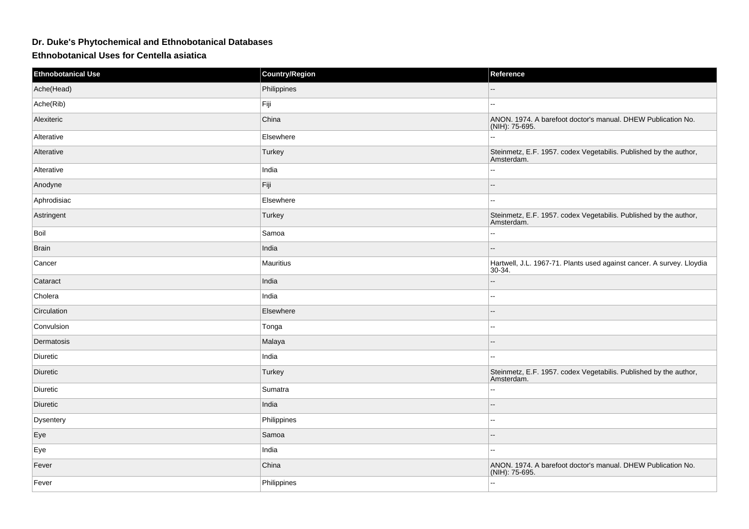## **Dr. Duke's Phytochemical and Ethnobotanical Databases**

**Ethnobotanical Uses for Centella asiatica**

| <b>Ethnobotanical Use</b> | <b>Country/Region</b> | Reference                                                                         |
|---------------------------|-----------------------|-----------------------------------------------------------------------------------|
| Ache(Head)                | Philippines           | $\overline{a}$                                                                    |
| Ache(Rib)                 | Fiji                  | $\overline{\phantom{a}}$                                                          |
| Alexiteric                | China                 | ANON. 1974. A barefoot doctor's manual. DHEW Publication No.<br>$(NIH)$ : 75-695. |
| Alterative                | Elsewhere             | Ξ.                                                                                |
| Alterative                | Turkey                | Steinmetz, E.F. 1957. codex Vegetabilis. Published by the author,<br>Amsterdam.   |
| Alterative                | India                 | $\overline{\phantom{a}}$                                                          |
| Anodyne                   | Fiji                  | $\overline{\phantom{a}}$                                                          |
| Aphrodisiac               | Elsewhere             | $\sim$                                                                            |
| Astringent                | Turkey                | Steinmetz, E.F. 1957. codex Vegetabilis. Published by the author,<br>Amsterdam.   |
| Boil                      | Samoa                 | $\overline{a}$                                                                    |
| <b>Brain</b>              | India                 | $-$                                                                               |
| Cancer                    | Mauritius             | Hartwell, J.L. 1967-71. Plants used against cancer. A survey. Lloydia<br>30-34.   |
| Cataract                  | India                 | --                                                                                |
| Cholera                   | India                 | $\overline{\phantom{a}}$                                                          |
| Circulation               | Elsewhere             | $\overline{a}$                                                                    |
| Convulsion                | Tonga                 | $\overline{a}$                                                                    |
| Dermatosis                | Malaya                | $\overline{\phantom{a}}$                                                          |
| Diuretic                  | India                 | $\overline{\phantom{a}}$                                                          |
| Diuretic                  | Turkey                | Steinmetz, E.F. 1957. codex Vegetabilis. Published by the author,<br>Amsterdam.   |
| Diuretic                  | Sumatra               | $\sim$                                                                            |
| <b>Diuretic</b>           | India                 | $\sim$                                                                            |
| Dysentery                 | Philippines           | Ξ.                                                                                |
| Eye                       | Samoa                 | $\overline{a}$                                                                    |
| Eye                       | India                 | $\sim$ $\sim$                                                                     |
| Fever                     | China                 | ANON. 1974. A barefoot doctor's manual. DHEW Publication No.<br>(NIH): 75-695.    |
| Fever                     | Philippines           | $\mathbf{L}$                                                                      |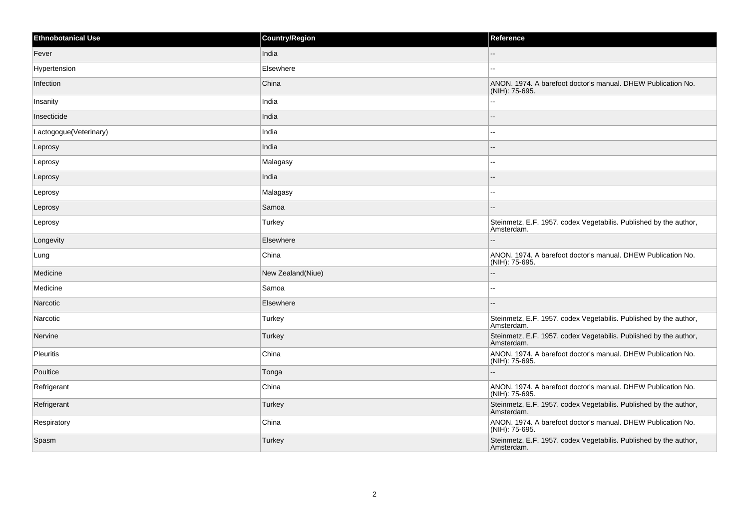| <b>Ethnobotanical Use</b> | <b>Country/Region</b> | Reference                                                                       |
|---------------------------|-----------------------|---------------------------------------------------------------------------------|
| Fever                     | India                 |                                                                                 |
| Hypertension              | Elsewhere             | $\overline{a}$                                                                  |
| Infection                 | China                 | ANON. 1974. A barefoot doctor's manual. DHEW Publication No.<br>(NIH): 75-695.  |
| Insanity                  | India                 |                                                                                 |
| Insecticide               | India                 | $\sim$                                                                          |
| Lactogogue(Veterinary)    | India                 | $\overline{a}$                                                                  |
| Leprosy                   | India                 |                                                                                 |
| Leprosy                   | Malagasy              |                                                                                 |
| Leprosy                   | India                 |                                                                                 |
| Leprosy                   | Malagasy              | $\sim$                                                                          |
| Leprosy                   | Samoa                 |                                                                                 |
| Leprosy                   | Turkey                | Steinmetz, E.F. 1957. codex Vegetabilis. Published by the author,<br>Amsterdam. |
| Longevity                 | Elsewhere             |                                                                                 |
| Lung                      | China                 | ANON. 1974. A barefoot doctor's manual. DHEW Publication No.<br>(NIH): 75-695.  |
| Medicine                  | New Zealand(Niue)     |                                                                                 |
| Medicine                  | Samoa                 | $\overline{a}$                                                                  |
| Narcotic                  | Elsewhere             | $=$                                                                             |
| Narcotic                  | Turkey                | Steinmetz, E.F. 1957. codex Vegetabilis. Published by the author,<br>Amsterdam. |
| Nervine                   | Turkey                | Steinmetz, E.F. 1957. codex Vegetabilis. Published by the author,<br>Amsterdam. |
| <b>Pleuritis</b>          | China                 | ANON. 1974. A barefoot doctor's manual. DHEW Publication No.<br>(NIH): 75-695.  |
| Poultice                  | Tonga                 |                                                                                 |
| Refrigerant               | China                 | ANON. 1974. A barefoot doctor's manual. DHEW Publication No.<br>(NIH): 75-695.  |
| Refrigerant               | Turkey                | Steinmetz, E.F. 1957. codex Vegetabilis. Published by the author,<br>Amsterdam. |
| Respiratory               | China                 | ANON. 1974. A barefoot doctor's manual. DHEW Publication No.<br>(NIH): 75-695.  |
| Spasm                     | Turkey                | Steinmetz, E.F. 1957. codex Vegetabilis. Published by the author,<br>Amsterdam. |